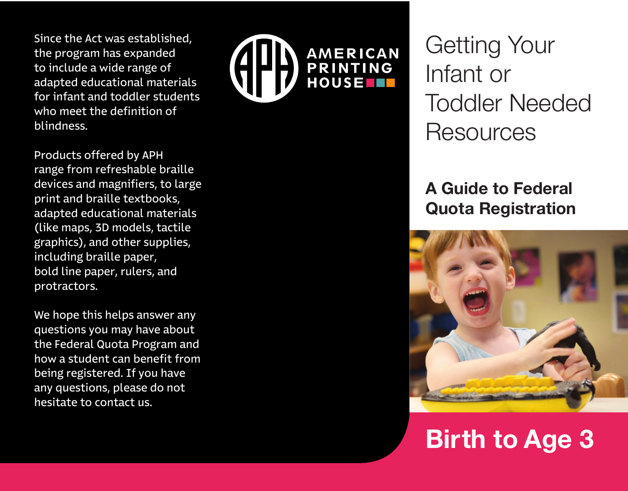Since the Act was established, the program has expanded to include a wide range of adapted educational materials for infant and toddler students who meet the definition of blindness.



Products offered by APH range from refreshable braille devices and magnifiers, to large print and braille textbooks, adapted educational materials (like maps, 3D models, tactile graphics), and other supplies, including braille paper, bold line paper, rulers, and protractors.

We hope this helps answer any questions you may have about the Federal Quota Program and how a student can benefit from being registered. If you have any questions, please do not hesitate to contact us.

Getting Your Infant or Toddler Needed **Resources** 

## **A Guide to Federal Quota Registration**



# **Birth to Age 3**